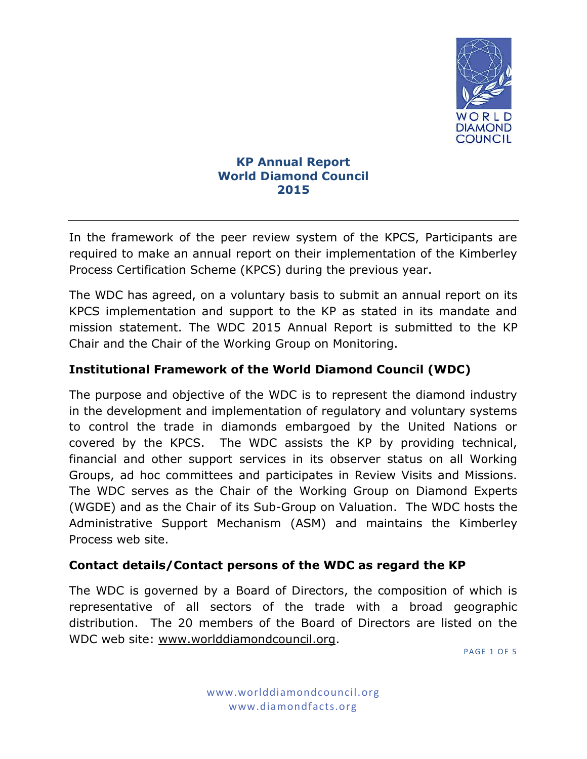

### **KP Annual Report World Diamond Council 2015**

In the framework of the peer review system of the KPCS, Participants are required to make an annual report on their implementation of the Kimberley Process Certification Scheme (KPCS) during the previous year.

The WDC has agreed, on a voluntary basis to submit an annual report on its KPCS implementation and support to the KP as stated in its mandate and mission statement. The WDC 2015 Annual Report is submitted to the KP Chair and the Chair of the Working Group on Monitoring.

# **Institutional Framework of the World Diamond Council (WDC)**

The purpose and objective of the WDC is to represent the diamond industry in the development and implementation of regulatory and voluntary systems to control the trade in diamonds embargoed by the United Nations or covered by the KPCS. The WDC assists the KP by providing technical, financial and other support services in its observer status on all Working Groups, ad hoc committees and participates in Review Visits and Missions. The WDC serves as the Chair of the Working Group on Diamond Experts (WGDE) and as the Chair of its Sub-Group on Valuation. The WDC hosts the Administrative Support Mechanism (ASM) and maintains the Kimberley Process web site.

## **Contact details/Contact persons of the WDC as regard the KP**

The WDC is governed by a Board of Directors, the composition of which is representative of all sectors of the trade with a broad geographic distribution. The 20 members of the Board of Directors are listed on the WDC web site: [www.worlddiamondcouncil.org.](http://www.worlddiamondcouncil.org/)

**PAGE 1 OF 5**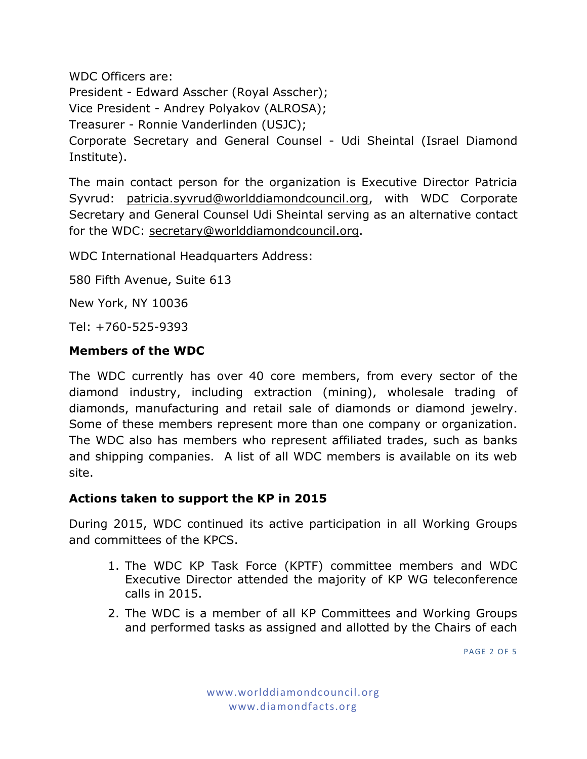WDC Officers are: President - Edward Asscher (Royal Asscher); Vice President - Andrey Polyakov (ALROSA); Treasurer - Ronnie Vanderlinden (USJC); Corporate Secretary and General Counsel - Udi Sheintal (Israel Diamond Institute).

The main contact person for the organization is Executive Director Patricia Syvrud: [patricia.syvrud@worlddiamondcouncil.org,](mailto:patricia.syvrud@worlddiamondcouncil.org) with WDC Corporate Secretary and General Counsel Udi Sheintal serving as an alternative contact for the WDC: [secretary@worlddiamondcouncil.org.](mailto:secretary@worlddiamondcouncil.org)

WDC International Headquarters Address:

580 Fifth Avenue, Suite 613

New York, NY 10036

Tel: +760-525-9393

### **Members of the WDC**

The WDC currently has over 40 core members, from every sector of the diamond industry, including extraction (mining), wholesale trading of diamonds, manufacturing and retail sale of diamonds or diamond jewelry. Some of these members represent more than one company or organization. The WDC also has members who represent affiliated trades, such as banks and shipping companies. A list of all WDC members is available on its web site.

### **Actions taken to support the KP in 2015**

During 2015, WDC continued its active participation in all Working Groups and committees of the KPCS.

- 1. The WDC KP Task Force (KPTF) committee members and WDC Executive Director attended the majority of KP WG teleconference calls in 2015.
- 2. The WDC is a member of all KP Committees and Working Groups and performed tasks as assigned and allotted by the Chairs of each

**PAGE 2 OF 5**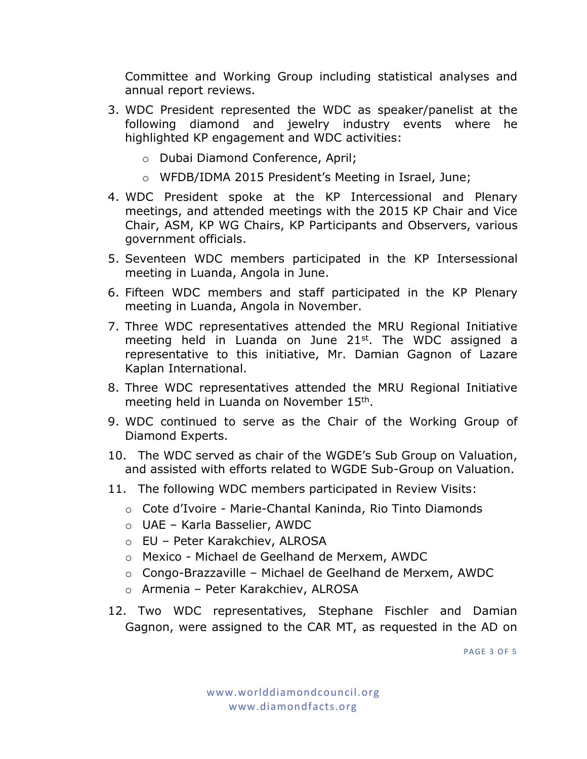Committee and Working Group including statistical analyses and annual report reviews.

- 3. WDC President represented the WDC as speaker/panelist at the following diamond and jewelry industry events where he highlighted KP engagement and WDC activities:
	- o Dubai Diamond Conference, April;
	- o WFDB/IDMA 2015 President's Meeting in Israel, June;
- 4. WDC President spoke at the KP Intercessional and Plenary meetings, and attended meetings with the 2015 KP Chair and Vice Chair, ASM, KP WG Chairs, KP Participants and Observers, various government officials.
- 5. Seventeen WDC members participated in the KP Intersessional meeting in Luanda, Angola in June.
- 6. Fifteen WDC members and staff participated in the KP Plenary meeting in Luanda, Angola in November.
- 7. Three WDC representatives attended the MRU Regional Initiative meeting held in Luanda on June 21st. The WDC assigned a representative to this initiative, Mr. Damian Gagnon of Lazare Kaplan International.
- 8. Three WDC representatives attended the MRU Regional Initiative meeting held in Luanda on November 15<sup>th</sup>.
- 9. WDC continued to serve as the Chair of the Working Group of Diamond Experts.
- 10. The WDC served as chair of the WGDE's Sub Group on Valuation, and assisted with efforts related to WGDE Sub-Group on Valuation.
- 11. The following WDC members participated in Review Visits:
	- o Cote d'Ivoire Marie-Chantal Kaninda, Rio Tinto Diamonds
	- o UAE Karla Basselier, AWDC
	- o EU Peter Karakchiev, ALROSA
	- o Mexico Michael de Geelhand de Merxem, AWDC
	- o Congo-Brazzaville Michael de Geelhand de Merxem, AWDC
	- o Armenia Peter Karakchiev, ALROSA
- 12. Two WDC representatives, Stephane Fischler and Damian Gagnon, were assigned to the CAR MT, as requested in the AD on

**PAGE 3 OF 5**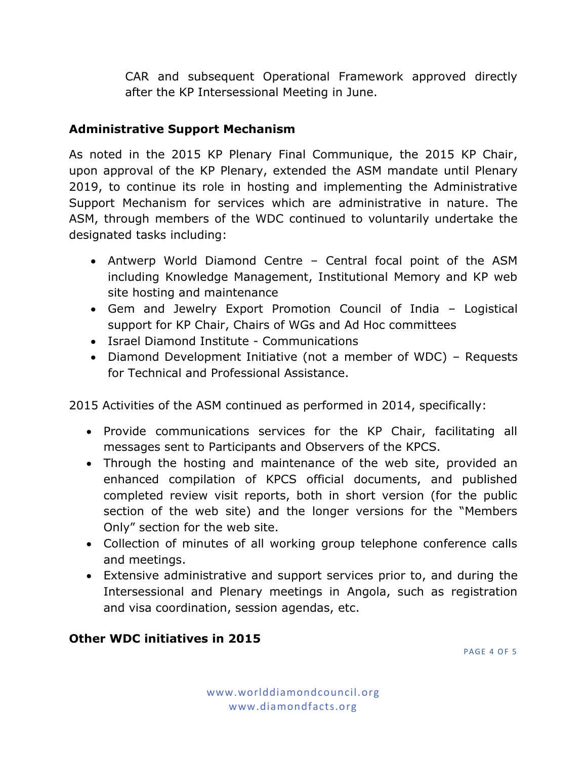CAR and subsequent Operational Framework approved directly after the KP Intersessional Meeting in June.

## **Administrative Support Mechanism**

As noted in the 2015 KP Plenary Final Communique, the 2015 KP Chair, upon approval of the KP Plenary, extended the ASM mandate until Plenary 2019, to continue its role in hosting and implementing the Administrative Support Mechanism for services which are administrative in nature. The ASM, through members of the WDC continued to voluntarily undertake the designated tasks including:

- Antwerp World Diamond Centre Central focal point of the ASM including Knowledge Management, Institutional Memory and KP web site hosting and maintenance
- Gem and Jewelry Export Promotion Council of India Logistical support for KP Chair, Chairs of WGs and Ad Hoc committees
- Israel Diamond Institute Communications
- Diamond Development Initiative (not a member of WDC) Requests for Technical and Professional Assistance.

2015 Activities of the ASM continued as performed in 2014, specifically:

- Provide communications services for the KP Chair, facilitating all messages sent to Participants and Observers of the KPCS.
- Through the hosting and maintenance of the web site, provided an enhanced compilation of KPCS official documents, and published completed review visit reports, both in short version (for the public section of the web site) and the longer versions for the "Members Only" section for the web site.
- Collection of minutes of all working group telephone conference calls and meetings.
- Extensive administrative and support services prior to, and during the Intersessional and Plenary meetings in Angola, such as registration and visa coordination, session agendas, etc.

# **Other WDC initiatives in 2015**

**PAGE 4 OF 5**